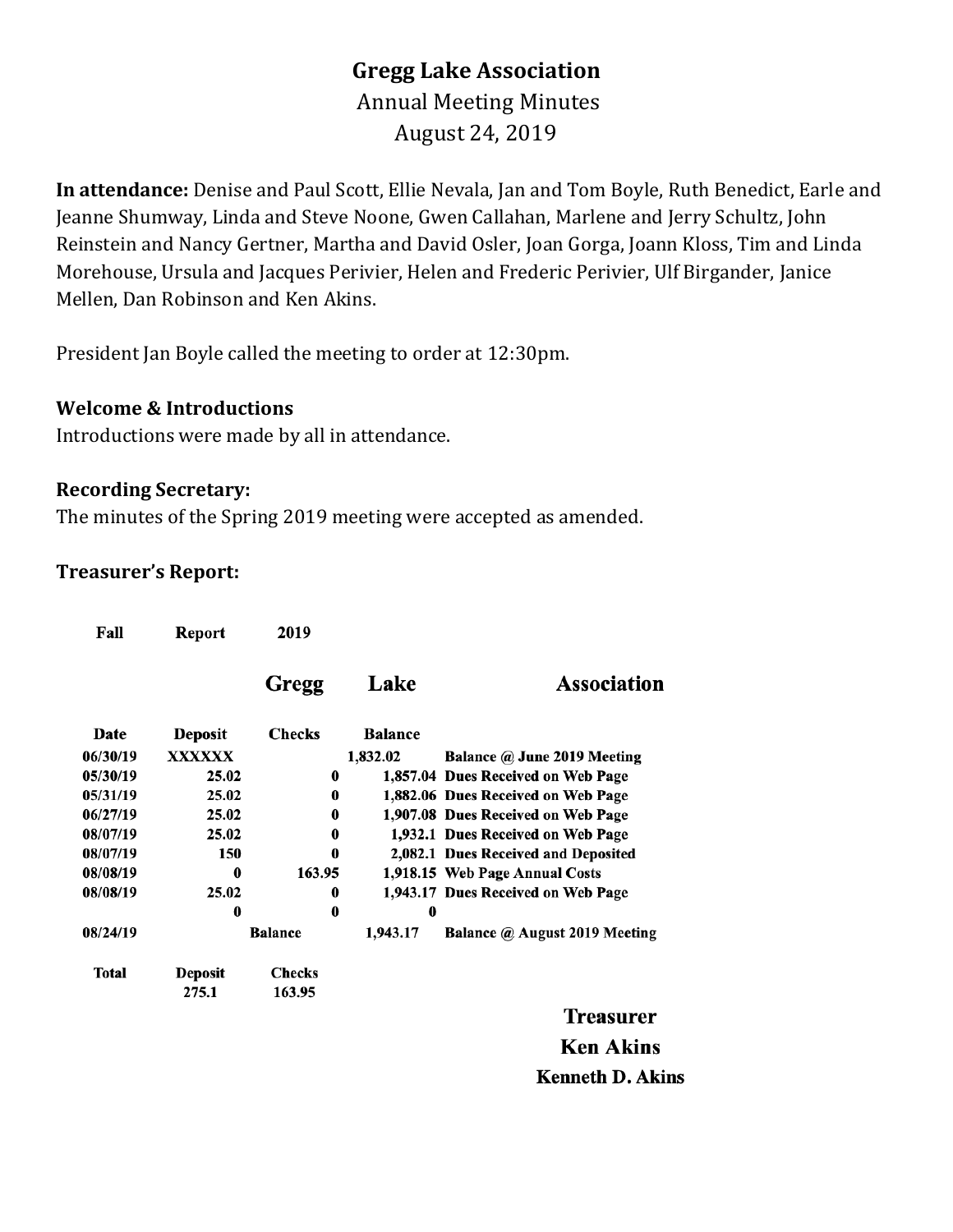## **Gregg Lake Association** Annual Meeting Minutes August 24, 2019

**In attendance:** Denise and Paul Scott, Ellie Nevala, Jan and Tom Boyle, Ruth Benedict, Earle and Jeanne Shumway, Linda and Steve Noone, Gwen Callahan, Marlene and Jerry Schultz, John Reinstein and Nancy Gertner, Martha and David Osler, Joan Gorga, Joann Kloss, Tim and Linda Morehouse, Ursula and Jacques Perivier, Helen and Frederic Perivier, Ulf Birgander, Janice Mellen, Dan Robinson and Ken Akins.

President Jan Boyle called the meeting to order at 12:30pm.

#### **Welcome & Introductions**

Introductions were made by all in attendance.

#### **Recording Secretary:**

The minutes of the Spring 2019 meeting were accepted as amended.

#### **Treasurer's Report:**

| Fall     | Report         | 2019           |                |                                     |  |  |
|----------|----------------|----------------|----------------|-------------------------------------|--|--|
|          |                | Gregg          | Lake           | <b>Association</b>                  |  |  |
| Date     | <b>Deposit</b> | <b>Checks</b>  | <b>Balance</b> |                                     |  |  |
| 06/30/19 | <b>XXXXXX</b>  |                | 1,832.02       | Balance @ June 2019 Meeting         |  |  |
| 05/30/19 | 25.02          | 0              |                | 1,857.04 Dues Received on Web Page  |  |  |
| 05/31/19 | 25.02          | 0              |                | 1,882.06 Dues Received on Web Page  |  |  |
| 06/27/19 | 25.02          | 0              |                | 1,907.08 Dues Received on Web Page  |  |  |
| 08/07/19 | 25.02          | 0              |                | 1,932.1 Dues Received on Web Page   |  |  |
| 08/07/19 | 150            | 0              |                | 2,082.1 Dues Received and Deposited |  |  |
| 08/08/19 | 0              | 163.95         |                | 1,918.15 Web Page Annual Costs      |  |  |
| 08/08/19 | 25.02          | 0              |                | 1,943.17 Dues Received on Web Page  |  |  |
|          | 0              | 0              | 0              |                                     |  |  |
| 08/24/19 |                | <b>Balance</b> | 1,943.17       | Balance @ August 2019 Meeting       |  |  |
| Total    | <b>Deposit</b> | <b>Checks</b>  |                |                                     |  |  |
|          | 275.1          | 163.95         |                |                                     |  |  |

**Treasurer Ken Akins Kenneth D. Akins**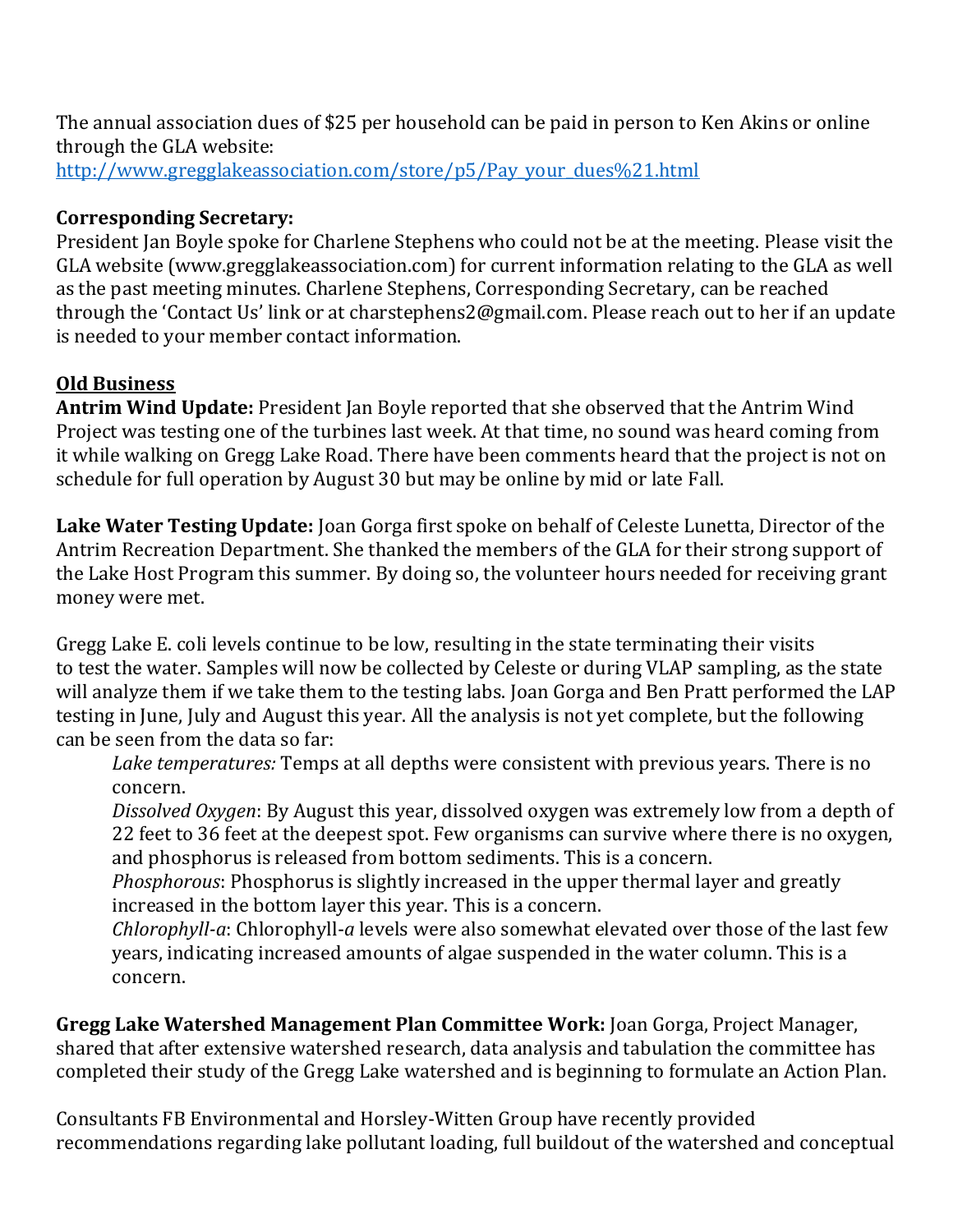The annual association dues of \$25 per household can be paid in person to Ken Akins or online through the GLA website: [http://www.gregglakeassociation.com/store/p5/Pay\\_your\\_dues%21.html](http://www.gregglakeassociation.com/store/p5/Pay_your_dues%21.html)

## **Corresponding Secretary:**

President Jan Boyle spoke for Charlene Stephens who could not be at the meeting. Please visit the GLA website (www.gregglakeassociation.com) for current information relating to the GLA as well as the past meeting minutes. Charlene Stephens, Corresponding Secretary, can be reached through the 'Contact Us' link or at charstephens2@gmail.com. Please reach out to her if an update is needed to your member contact information.

## **Old Business**

**Antrim Wind Update:** President Jan Boyle reported that she observed that the Antrim Wind Project was testing one of the turbines last week. At that time, no sound was heard coming from it while walking on Gregg Lake Road. There have been comments heard that the project is not on schedule for full operation by August 30 but may be online by mid or late Fall.

**Lake Water Testing Update:** Joan Gorga first spoke on behalf of Celeste Lunetta, Director of the Antrim Recreation Department. She thanked the members of the GLA for their strong support of the Lake Host Program this summer. By doing so, the volunteer hours needed for receiving grant money were met.

Gregg Lake E. coli levels continue to be low, resulting in the state terminating their visits to test the water. Samples will now be collected by Celeste or during VLAP sampling, as the state will analyze them if we take them to the testing labs. Joan Gorga and Ben Pratt performed the LAP testing in June, July and August this year. All the analysis is not yet complete, but the following can be seen from the data so far:

*Lake temperatures:* Temps at all depths were consistent with previous years. There is no concern.

*Dissolved Oxygen*: By August this year, dissolved oxygen was extremely low from a depth of 22 feet to 36 feet at the deepest spot. Few organisms can survive where there is no oxygen, and phosphorus is released from bottom sediments. This is a concern.

*Phosphorous*: Phosphorus is slightly increased in the upper thermal layer and greatly increased in the bottom layer this year. This is a concern.

*Chlorophyll-a*: Chlorophyll-*a* levels were also somewhat elevated over those of the last few years, indicating increased amounts of algae suspended in the water column. This is a concern.

**Gregg Lake Watershed Management Plan Committee Work:** Joan Gorga, Project Manager, shared that after extensive watershed research, data analysis and tabulation the committee has completed their study of the Gregg Lake watershed and is beginning to formulate an Action Plan.

Consultants FB Environmental and Horsley-Witten Group have recently provided recommendations regarding lake pollutant loading, full buildout of the watershed and conceptual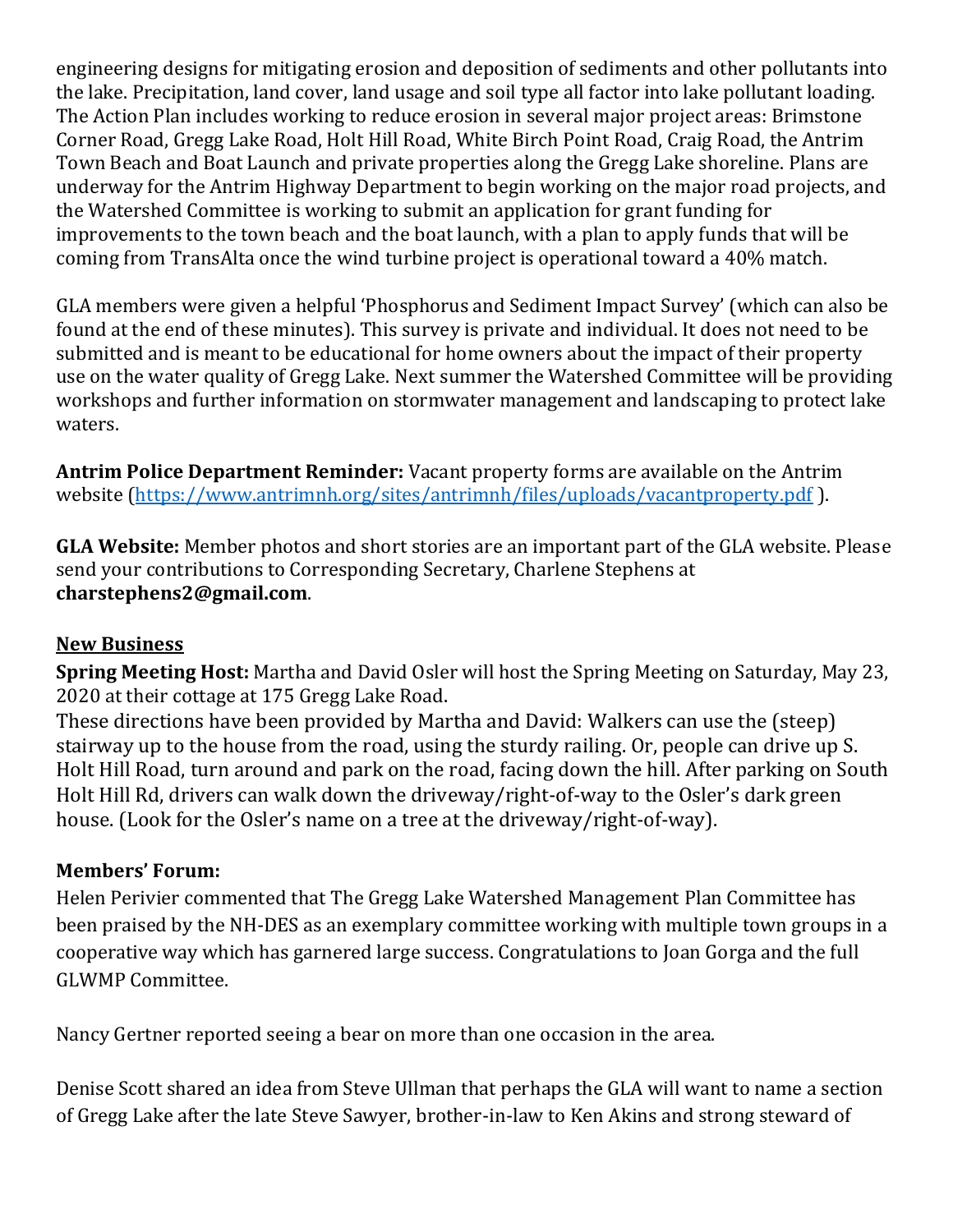engineering designs for mitigating erosion and deposition of sediments and other pollutants into the lake. Precipitation, land cover, land usage and soil type all factor into lake pollutant loading. The Action Plan includes working to reduce erosion in several major project areas: Brimstone Corner Road, Gregg Lake Road, Holt Hill Road, White Birch Point Road, Craig Road, the Antrim Town Beach and Boat Launch and private properties along the Gregg Lake shoreline. Plans are underway for the Antrim Highway Department to begin working on the major road projects, and the Watershed Committee is working to submit an application for grant funding for improvements to the town beach and the boat launch, with a plan to apply funds that will be coming from TransAlta once the wind turbine project is operational toward a 40% match.

GLA members were given a helpful 'Phosphorus and Sediment Impact Survey' (which can also be found at the end of these minutes). This survey is private and individual. It does not need to be submitted and is meant to be educational for home owners about the impact of their property use on the water quality of Gregg Lake. Next summer the Watershed Committee will be providing workshops and further information on stormwater management and landscaping to protect lake waters.

**Antrim Police Department Reminder:** Vacant property forms are available on the Antrim website [\(https://www.antrimnh.org/sites/antrimnh/files/uploads/vacantproperty.pdf](https://www.antrimnh.org/sites/antrimnh/files/uploads/vacantproperty.pdf) ).

**GLA Website:** Member photos and short stories are an important part of the GLA website. Please send your contributions to Corresponding Secretary, Charlene Stephens at **charstephens2@gmail.com**.

#### **New Business**

**Spring Meeting Host:** Martha and David Osler will host the Spring Meeting on Saturday, May 23, 2020 at their cottage at 175 Gregg Lake Road.

These directions have been provided by Martha and David: Walkers can use the (steep) stairway up to the house from the road, using the sturdy railing. Or, people can drive up S. Holt Hill Road, turn around and park on the road, facing down the hill. After parking on South Holt Hill Rd, drivers can walk down the driveway/right-of-way to the Osler's dark green house. (Look for the Osler's name on a tree at the driveway/right-of-way).

## **Members' Forum:**

Helen Perivier commented that The Gregg Lake Watershed Management Plan Committee has been praised by the NH-DES as an exemplary committee working with multiple town groups in a cooperative way which has garnered large success. Congratulations to Joan Gorga and the full GLWMP Committee.

Nancy Gertner reported seeing a bear on more than one occasion in the area.

Denise Scott shared an idea from Steve Ullman that perhaps the GLA will want to name a section of Gregg Lake after the late Steve Sawyer, brother-in-law to Ken Akins and strong steward of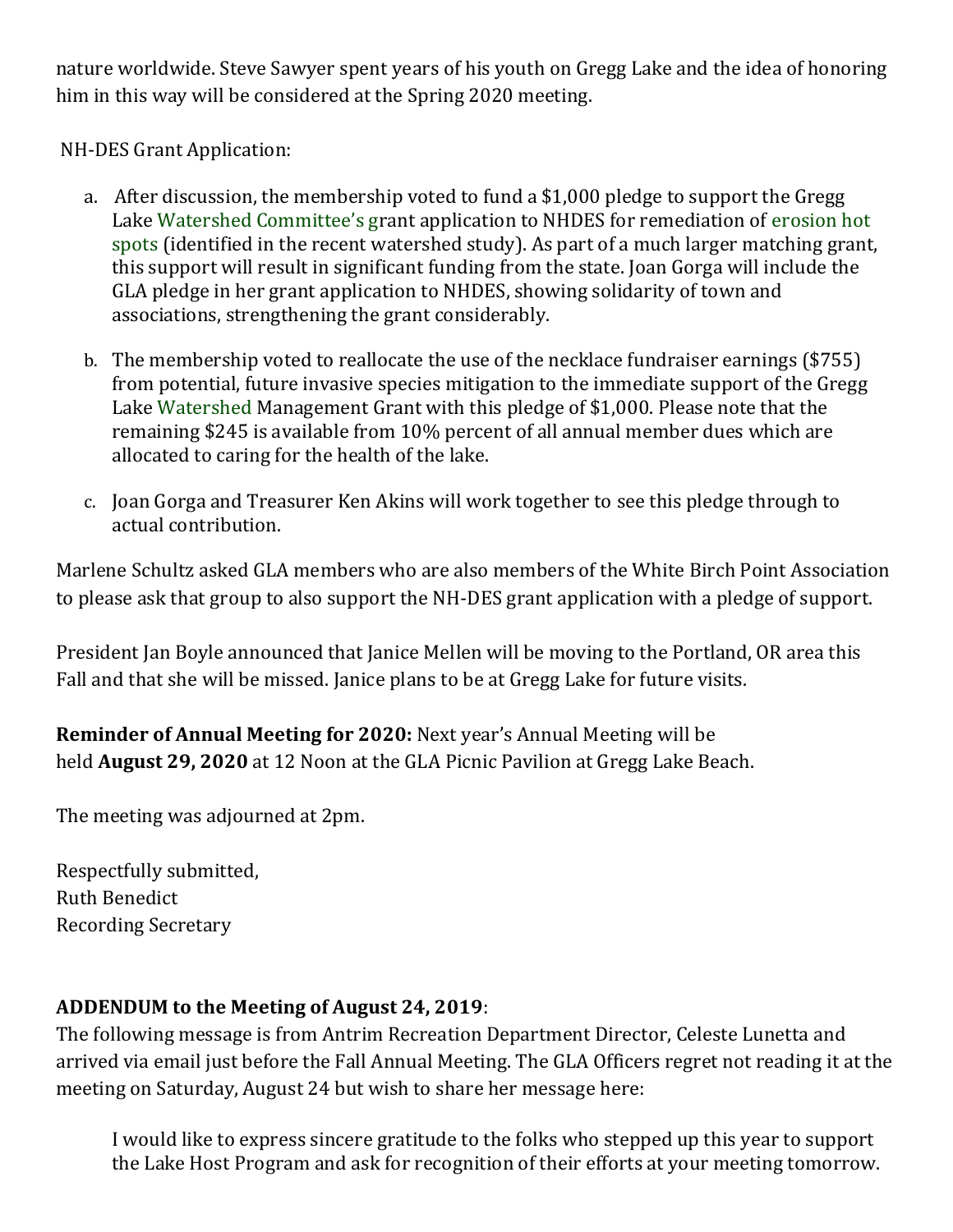nature worldwide. Steve Sawyer spent years of his youth on Gregg Lake and the idea of honoring him in this way will be considered at the Spring 2020 meeting.

NH-DES Grant Application:

- a. After discussion, the membership voted to fund a \$1,000 pledge to support the Gregg Lake Watershed Committee's grant application to NHDES for remediation of erosion hot spots (identified in the recent watershed study). As part of a much larger matching grant, this support will result in significant funding from the state. Joan Gorga will include the GLA pledge in her grant application to NHDES, showing solidarity of town and associations, strengthening the grant considerably.
- b. The membership voted to reallocate the use of the necklace fundraiser earnings (\$755) from potential, future invasive species mitigation to the immediate support of the Gregg Lake Watershed Management Grant with this pledge of \$1,000. Please note that the remaining \$245 is available from 10% percent of all annual member dues which are allocated to caring for the health of the lake.
- c. Joan Gorga and Treasurer Ken Akins will work together to see this pledge through to actual contribution.

Marlene Schultz asked GLA members who are also members of the White Birch Point Association to please ask that group to also support the NH-DES grant application with a pledge of support.

President Jan Boyle announced that Janice Mellen will be moving to the Portland, OR area this Fall and that she will be missed. Janice plans to be at Gregg Lake for future visits.

**Reminder of Annual Meeting for 2020:** Next year's Annual Meeting will be held **August 29, 2020** at 12 Noon at the GLA Picnic Pavilion at Gregg Lake Beach.

The meeting was adjourned at 2pm.

Respectfully submitted, Ruth Benedict Recording Secretary

## **ADDENDUM to the Meeting of August 24, 2019**:

The following message is from Antrim Recreation Department Director, Celeste Lunetta and arrived via email just before the Fall Annual Meeting. The GLA Officers regret not reading it at the meeting on Saturday, August 24 but wish to share her message here:

I would like to express sincere gratitude to the folks who stepped up this year to support the Lake Host Program and ask for recognition of their efforts at your meeting tomorrow.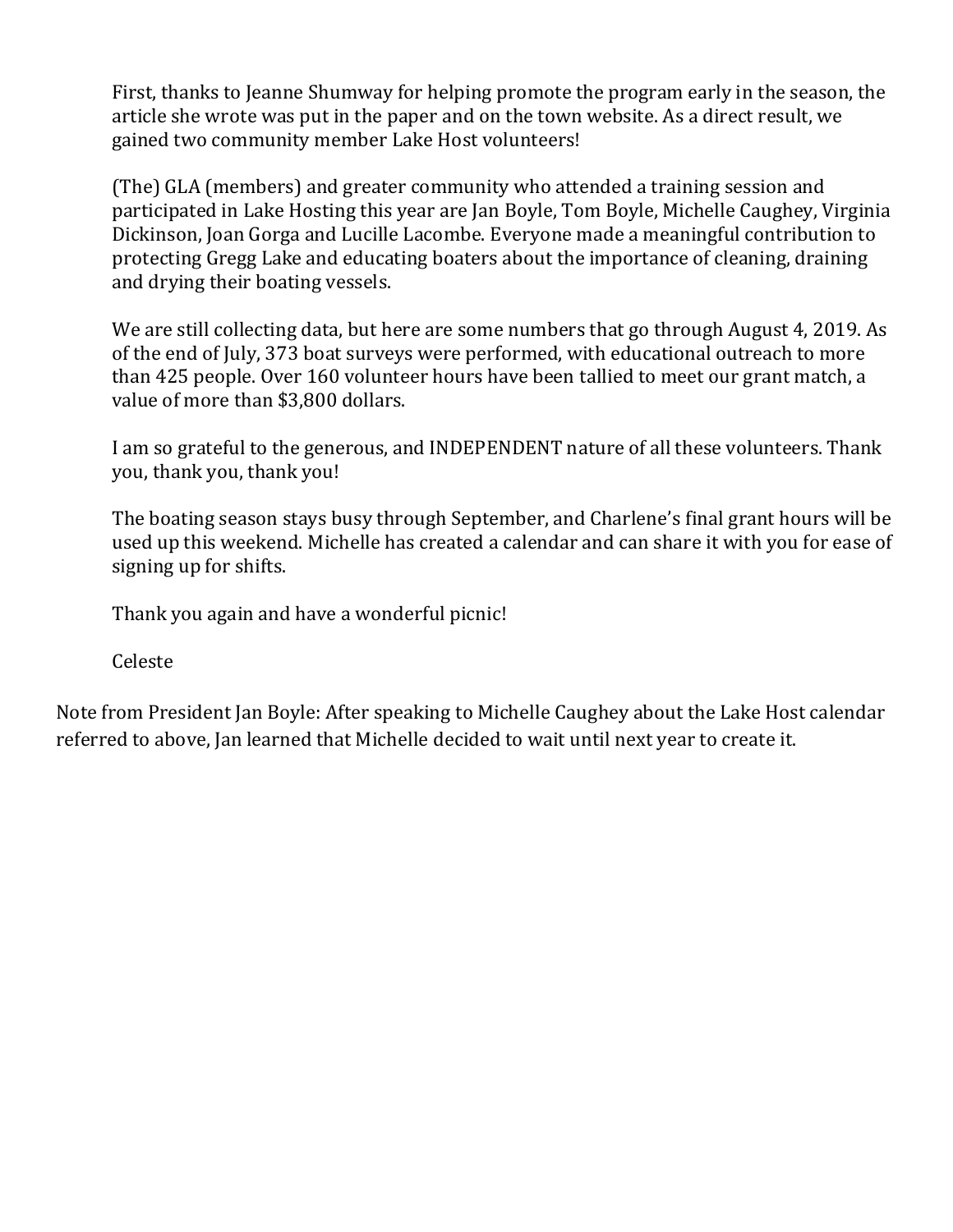First, thanks to Jeanne Shumway for helping promote the program early in the season, the article she wrote was put in the paper and on the town website. As a direct result, we gained two community member Lake Host volunteers!

(The) GLA (members) and greater community who attended a training session and participated in Lake Hosting this year are Jan Boyle, Tom Boyle, Michelle Caughey, Virginia Dickinson, Joan Gorga and Lucille Lacombe. Everyone made a meaningful contribution to protecting Gregg Lake and educating boaters about the importance of cleaning, draining and drying their boating vessels.

We are still collecting data, but here are some numbers that go through August 4, 2019. As of the end of July, 373 boat surveys were performed, with educational outreach to more than 425 people. Over 160 volunteer hours have been tallied to meet our grant match, a value of more than \$3,800 dollars.

I am so grateful to the generous, and INDEPENDENT nature of all these volunteers. Thank you, thank you, thank you!

The boating season stays busy through September, and Charlene's final grant hours will be used up this weekend. Michelle has created a calendar and can share it with you for ease of signing up for shifts.

Thank you again and have a wonderful picnic!

Celeste

Note from President Jan Boyle: After speaking to Michelle Caughey about the Lake Host calendar referred to above, Jan learned that Michelle decided to wait until next year to create it.